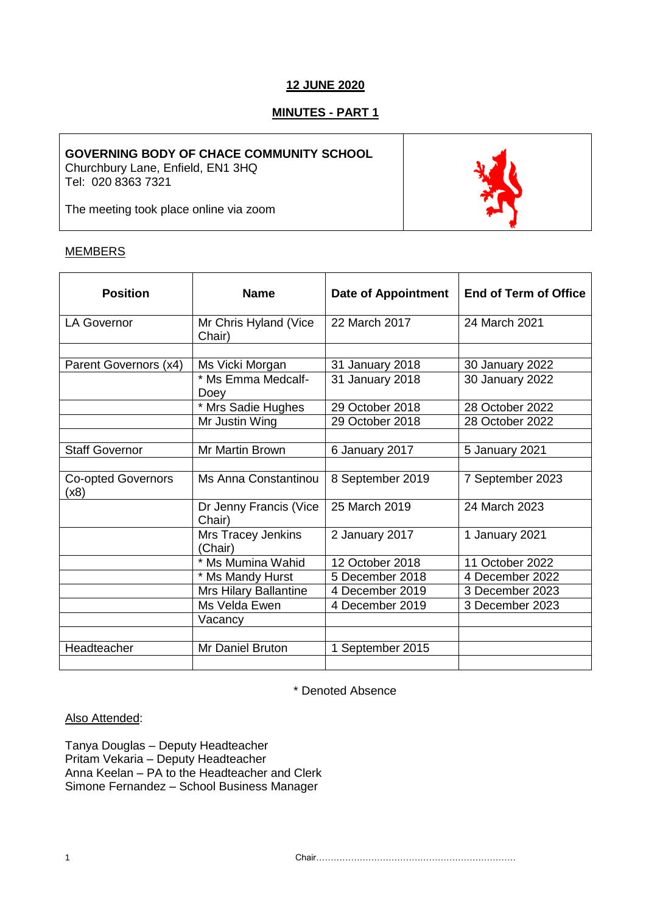# **12 JUNE 2020**

# **MINUTES - PART 1**

### **GOVERNING BODY OF CHACE COMMUNITY SCHOOL**

Churchbury Lane, Enfield, EN1 3HQ Tel: 020 8363 7321

The meeting took place online via zoom

# MEMBERS

| <b>Position</b>                   | <b>Name</b>                      | <b>Date of Appointment</b> | <b>End of Term of Office</b> |
|-----------------------------------|----------------------------------|----------------------------|------------------------------|
| <b>LA Governor</b>                | Mr Chris Hyland (Vice<br>Chair)  | 22 March 2017              | 24 March 2021                |
|                                   |                                  |                            |                              |
| Parent Governors (x4)             | Ms Vicki Morgan                  | 31 January 2018            | 30 January 2022              |
|                                   | * Ms Emma Medcalf-<br>Doey       | 31 January 2018            | 30 January 2022              |
|                                   | * Mrs Sadie Hughes               | 29 October 2018            | 28 October 2022              |
|                                   | Mr Justin Wing                   | 29 October 2018            | 28 October 2022              |
|                                   |                                  |                            |                              |
| <b>Staff Governor</b>             | Mr Martin Brown                  | 6 January 2017             | 5 January 2021               |
|                                   |                                  |                            |                              |
| <b>Co-opted Governors</b><br>(x8) | Ms Anna Constantinou             | 8 September 2019           | 7 September 2023             |
|                                   | Dr Jenny Francis (Vice<br>Chair) | 25 March 2019              | 24 March 2023                |
|                                   | Mrs Tracey Jenkins<br>(Chair)    | 2 January 2017             | 1 January 2021               |
|                                   | * Ms Mumina Wahid                | 12 October 2018            | 11 October 2022              |
|                                   | * Ms Mandy Hurst                 | 5 December 2018            | 4 December 2022              |
|                                   | Mrs Hilary Ballantine            | 4 December 2019            | 3 December 2023              |
|                                   | Ms Velda Ewen                    | 4 December 2019            | 3 December 2023              |
|                                   | Vacancy                          |                            |                              |
|                                   |                                  |                            |                              |
| Headteacher                       | Mr Daniel Bruton                 | 1 September 2015           |                              |
|                                   |                                  |                            |                              |

\* Denoted Absence

### Also Attended:

Tanya Douglas – Deputy Headteacher Pritam Vekaria – Deputy Headteacher Anna Keelan – PA to the Headteacher and Clerk Simone Fernandez – School Business Manager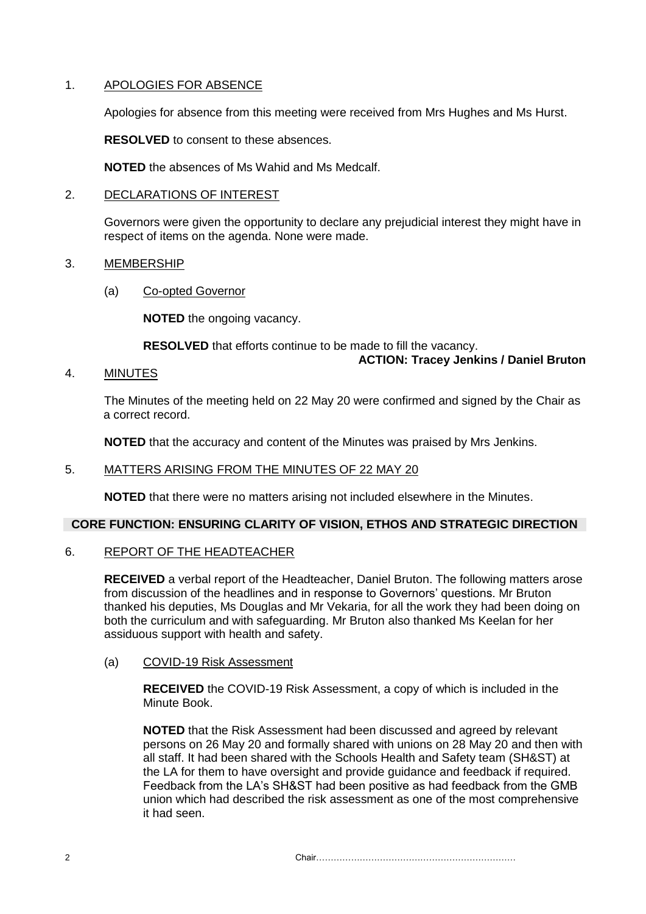### 1. APOLOGIES FOR ABSENCE

Apologies for absence from this meeting were received from Mrs Hughes and Ms Hurst.

**RESOLVED** to consent to these absences.

**NOTED** the absences of Ms Wahid and Ms Medcalf.

### 2. DECLARATIONS OF INTEREST

Governors were given the opportunity to declare any prejudicial interest they might have in respect of items on the agenda. None were made.

### 3. MEMBERSHIP

(a) Co-opted Governor

**NOTED** the ongoing vacancy.

**RESOLVED** that efforts continue to be made to fill the vacancy.

# **ACTION: Tracey Jenkins / Daniel Bruton**

4. MINUTES

The Minutes of the meeting held on 22 May 20 were confirmed and signed by the Chair as a correct record.

**NOTED** that the accuracy and content of the Minutes was praised by Mrs Jenkins.

## 5. MATTERS ARISING FROM THE MINUTES OF 22 MAY 20

**NOTED** that there were no matters arising not included elsewhere in the Minutes.

### **CORE FUNCTION: ENSURING CLARITY OF VISION, ETHOS AND STRATEGIC DIRECTION**

### 6. REPORT OF THE HEADTEACHER

**RECEIVED** a verbal report of the Headteacher, Daniel Bruton. The following matters arose from discussion of the headlines and in response to Governors' questions. Mr Bruton thanked his deputies, Ms Douglas and Mr Vekaria, for all the work they had been doing on both the curriculum and with safeguarding. Mr Bruton also thanked Ms Keelan for her assiduous support with health and safety.

### (a) COVID-19 Risk Assessment

**RECEIVED** the COVID-19 Risk Assessment, a copy of which is included in the Minute Book.

**NOTED** that the Risk Assessment had been discussed and agreed by relevant persons on 26 May 20 and formally shared with unions on 28 May 20 and then with all staff. It had been shared with the Schools Health and Safety team (SH&ST) at the LA for them to have oversight and provide guidance and feedback if required. Feedback from the LA's SH&ST had been positive as had feedback from the GMB union which had described the risk assessment as one of the most comprehensive it had seen.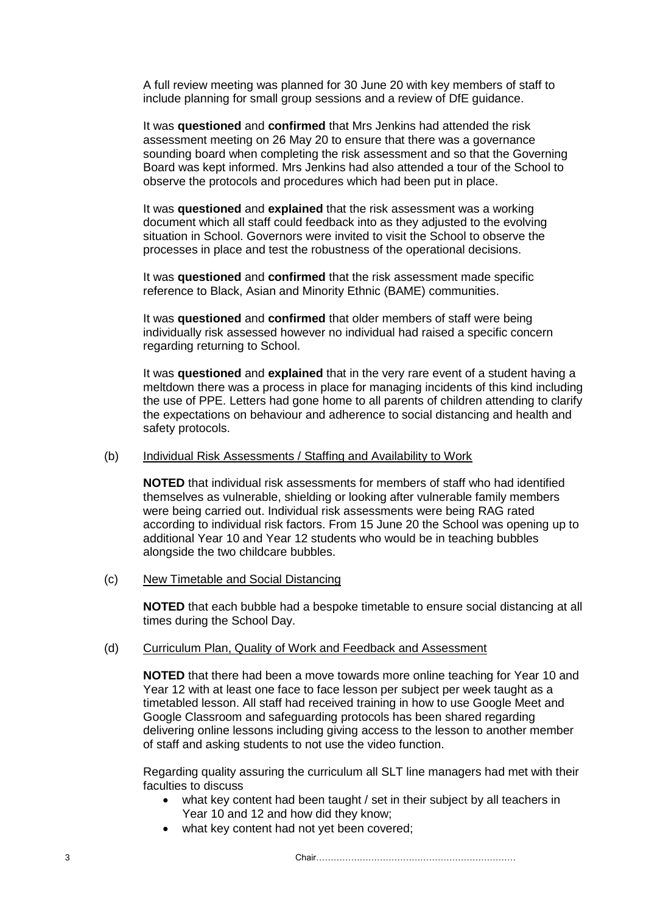A full review meeting was planned for 30 June 20 with key members of staff to include planning for small group sessions and a review of DfE guidance.

It was **questioned** and **confirmed** that Mrs Jenkins had attended the risk assessment meeting on 26 May 20 to ensure that there was a governance sounding board when completing the risk assessment and so that the Governing Board was kept informed. Mrs Jenkins had also attended a tour of the School to observe the protocols and procedures which had been put in place.

It was **questioned** and **explained** that the risk assessment was a working document which all staff could feedback into as they adjusted to the evolving situation in School. Governors were invited to visit the School to observe the processes in place and test the robustness of the operational decisions.

It was **questioned** and **confirmed** that the risk assessment made specific reference to Black, Asian and Minority Ethnic (BAME) communities.

It was **questioned** and **confirmed** that older members of staff were being individually risk assessed however no individual had raised a specific concern regarding returning to School.

It was **questioned** and **explained** that in the very rare event of a student having a meltdown there was a process in place for managing incidents of this kind including the use of PPE. Letters had gone home to all parents of children attending to clarify the expectations on behaviour and adherence to social distancing and health and safety protocols.

#### (b) Individual Risk Assessments / Staffing and Availability to Work

**NOTED** that individual risk assessments for members of staff who had identified themselves as vulnerable, shielding or looking after vulnerable family members were being carried out. Individual risk assessments were being RAG rated according to individual risk factors. From 15 June 20 the School was opening up to additional Year 10 and Year 12 students who would be in teaching bubbles alongside the two childcare bubbles.

(c) New Timetable and Social Distancing

**NOTED** that each bubble had a bespoke timetable to ensure social distancing at all times during the School Day.

#### (d) Curriculum Plan, Quality of Work and Feedback and Assessment

**NOTED** that there had been a move towards more online teaching for Year 10 and Year 12 with at least one face to face lesson per subject per week taught as a timetabled lesson. All staff had received training in how to use Google Meet and Google Classroom and safeguarding protocols has been shared regarding delivering online lessons including giving access to the lesson to another member of staff and asking students to not use the video function.

Regarding quality assuring the curriculum all SLT line managers had met with their faculties to discuss

- what key content had been taught / set in their subject by all teachers in Year 10 and 12 and how did they know;
- what key content had not yet been covered;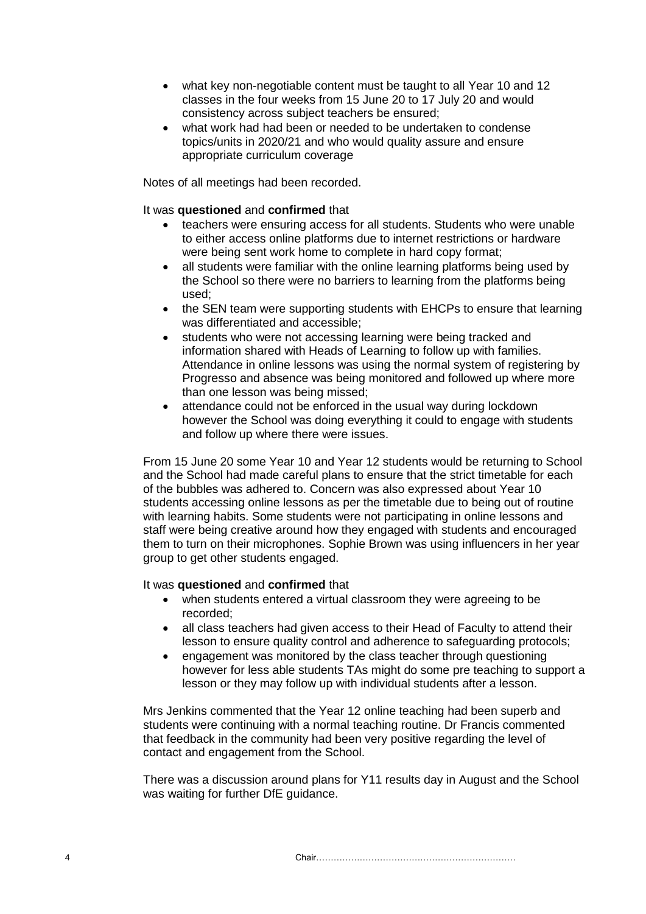- what key non-negotiable content must be taught to all Year 10 and 12 classes in the four weeks from 15 June 20 to 17 July 20 and would consistency across subject teachers be ensured;
- what work had had been or needed to be undertaken to condense topics/units in 2020/21 and who would quality assure and ensure appropriate curriculum coverage

Notes of all meetings had been recorded.

#### It was **questioned** and **confirmed** that

- teachers were ensuring access for all students. Students who were unable to either access online platforms due to internet restrictions or hardware were being sent work home to complete in hard copy format;
- all students were familiar with the online learning platforms being used by the School so there were no barriers to learning from the platforms being used;
- the SEN team were supporting students with EHCPs to ensure that learning was differentiated and accessible;
- students who were not accessing learning were being tracked and information shared with Heads of Learning to follow up with families. Attendance in online lessons was using the normal system of registering by Progresso and absence was being monitored and followed up where more than one lesson was being missed;
- attendance could not be enforced in the usual way during lockdown however the School was doing everything it could to engage with students and follow up where there were issues.

From 15 June 20 some Year 10 and Year 12 students would be returning to School and the School had made careful plans to ensure that the strict timetable for each of the bubbles was adhered to. Concern was also expressed about Year 10 students accessing online lessons as per the timetable due to being out of routine with learning habits. Some students were not participating in online lessons and staff were being creative around how they engaged with students and encouraged them to turn on their microphones. Sophie Brown was using influencers in her year group to get other students engaged.

#### It was **questioned** and **confirmed** that

- when students entered a virtual classroom they were agreeing to be recorded;
- all class teachers had given access to their Head of Faculty to attend their lesson to ensure quality control and adherence to safeguarding protocols;
- engagement was monitored by the class teacher through questioning however for less able students TAs might do some pre teaching to support a lesson or they may follow up with individual students after a lesson.

Mrs Jenkins commented that the Year 12 online teaching had been superb and students were continuing with a normal teaching routine. Dr Francis commented that feedback in the community had been very positive regarding the level of contact and engagement from the School.

There was a discussion around plans for Y11 results day in August and the School was waiting for further DfE guidance.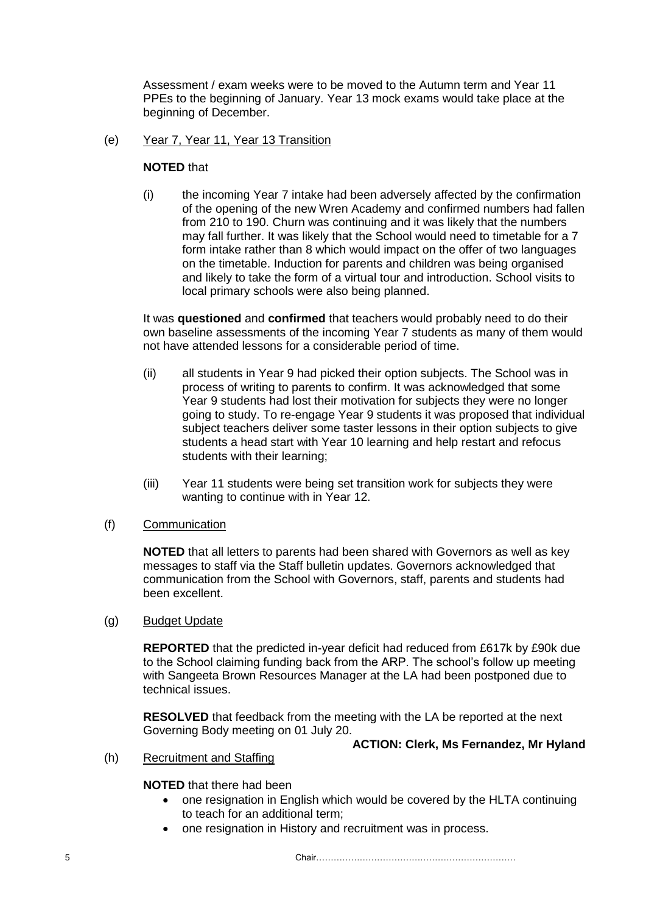Assessment / exam weeks were to be moved to the Autumn term and Year 11 PPEs to the beginning of January. Year 13 mock exams would take place at the beginning of December.

### (e) Year 7, Year 11, Year 13 Transition

### **NOTED** that

(i) the incoming Year 7 intake had been adversely affected by the confirmation of the opening of the new Wren Academy and confirmed numbers had fallen from 210 to 190. Churn was continuing and it was likely that the numbers may fall further. It was likely that the School would need to timetable for a 7 form intake rather than 8 which would impact on the offer of two languages on the timetable. Induction for parents and children was being organised and likely to take the form of a virtual tour and introduction. School visits to local primary schools were also being planned.

It was **questioned** and **confirmed** that teachers would probably need to do their own baseline assessments of the incoming Year 7 students as many of them would not have attended lessons for a considerable period of time.

- (ii) all students in Year 9 had picked their option subjects. The School was in process of writing to parents to confirm. It was acknowledged that some Year 9 students had lost their motivation for subjects they were no longer going to study. To re-engage Year 9 students it was proposed that individual subject teachers deliver some taster lessons in their option subjects to give students a head start with Year 10 learning and help restart and refocus students with their learning;
- (iii) Year 11 students were being set transition work for subjects they were wanting to continue with in Year 12.

#### (f) Communication

**NOTED** that all letters to parents had been shared with Governors as well as key messages to staff via the Staff bulletin updates. Governors acknowledged that communication from the School with Governors, staff, parents and students had been excellent.

#### (g) Budget Update

**REPORTED** that the predicted in-year deficit had reduced from £617k by £90k due to the School claiming funding back from the ARP. The school's follow up meeting with Sangeeta Brown Resources Manager at the LA had been postponed due to technical issues.

**RESOLVED** that feedback from the meeting with the LA be reported at the next Governing Body meeting on 01 July 20.

### **ACTION: Clerk, Ms Fernandez, Mr Hyland**

(h) Recruitment and Staffing

# **NOTED** that there had been

- one resignation in English which would be covered by the HLTA continuing to teach for an additional term;
- one resignation in History and recruitment was in process.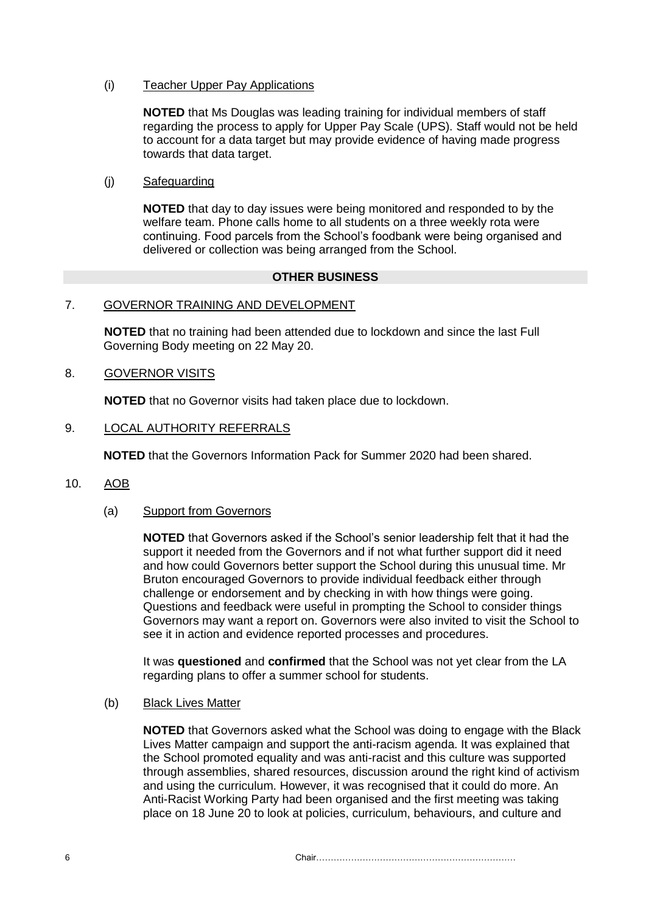(i) Teacher Upper Pay Applications

**NOTED** that Ms Douglas was leading training for individual members of staff regarding the process to apply for Upper Pay Scale (UPS). Staff would not be held to account for a data target but may provide evidence of having made progress towards that data target.

(j) Safeguarding

**NOTED** that day to day issues were being monitored and responded to by the welfare team. Phone calls home to all students on a three weekly rota were continuing. Food parcels from the School's foodbank were being organised and delivered or collection was being arranged from the School.

#### **OTHER BUSINESS**

#### 7. GOVERNOR TRAINING AND DEVELOPMENT

**NOTED** that no training had been attended due to lockdown and since the last Full Governing Body meeting on 22 May 20.

8. GOVERNOR VISITS

**NOTED** that no Governor visits had taken place due to lockdown.

#### 9. LOCAL AUTHORITY REFERRALS

**NOTED** that the Governors Information Pack for Summer 2020 had been shared.

10. AOB

#### (a) Support from Governors

**NOTED** that Governors asked if the School's senior leadership felt that it had the support it needed from the Governors and if not what further support did it need and how could Governors better support the School during this unusual time. Mr Bruton encouraged Governors to provide individual feedback either through challenge or endorsement and by checking in with how things were going. Questions and feedback were useful in prompting the School to consider things Governors may want a report on. Governors were also invited to visit the School to see it in action and evidence reported processes and procedures.

It was **questioned** and **confirmed** that the School was not yet clear from the LA regarding plans to offer a summer school for students.

(b) Black Lives Matter

**NOTED** that Governors asked what the School was doing to engage with the Black Lives Matter campaign and support the anti-racism agenda. It was explained that the School promoted equality and was anti-racist and this culture was supported through assemblies, shared resources, discussion around the right kind of activism and using the curriculum. However, it was recognised that it could do more. An Anti-Racist Working Party had been organised and the first meeting was taking place on 18 June 20 to look at policies, curriculum, behaviours, and culture and